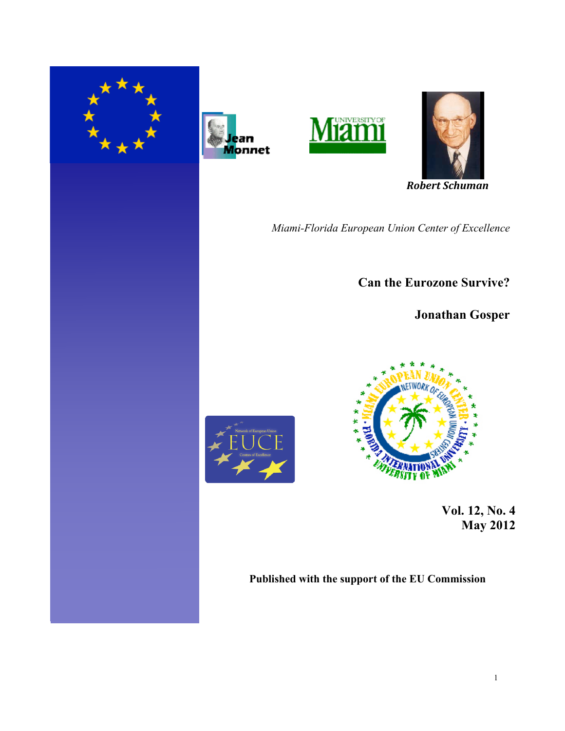







 *Robert Schuman* 

*Miami-Florida European Union Center of Excellence*

**Can the Eurozone Survive?**

**Jonathan Gosper**



 **Vol. 12, No. 4 May 2012** 

**Published with the support of the EU Commission**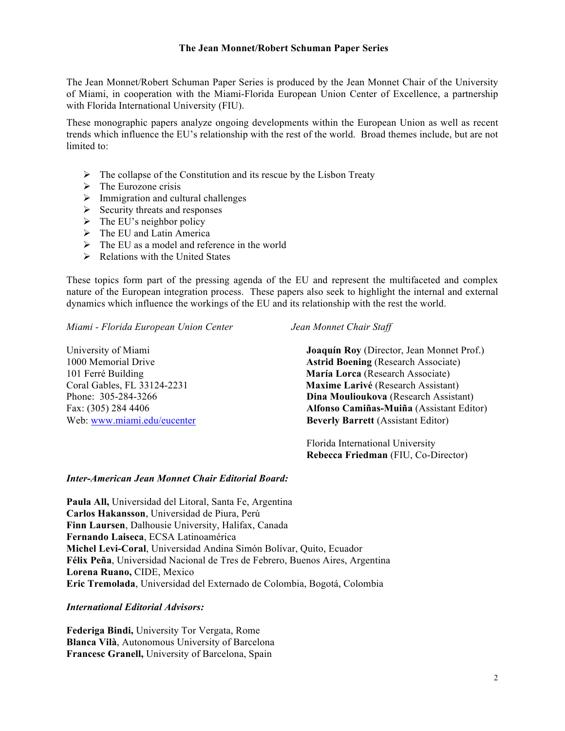#### **The Jean Monnet/Robert Schuman Paper Series**

The Jean Monnet/Robert Schuman Paper Series is produced by the Jean Monnet Chair of the University of Miami, in cooperation with the Miami-Florida European Union Center of Excellence, a partnership with Florida International University (FIU).

These monographic papers analyze ongoing developments within the European Union as well as recent trends which influence the EU's relationship with the rest of the world. Broad themes include, but are not limited to:

- $\triangleright$  The collapse of the Constitution and its rescue by the Lisbon Treaty
- $\triangleright$  The Eurozone crisis
- $\triangleright$  Immigration and cultural challenges
- $\triangleright$  Security threats and responses
- $\triangleright$  The EU's neighbor policy
- $\triangleright$  The EU and Latin America
- $\triangleright$  The EU as a model and reference in the world
- $\triangleright$  Relations with the United States

These topics form part of the pressing agenda of the EU and represent the multifaceted and complex nature of the European integration process. These papers also seek to highlight the internal and external dynamics which influence the workings of the EU and its relationship with the rest the world.

*Miami - Florida European Union Center Jean Monnet Chair Staff*

101 Ferré Building **María Lorca** (Research Associate) Web: www.miami.edu/eucenter **Beverly Barrett** (Assistant Editor)

University of Miami **Joaquín Roy** (Director, Jean Monnet Prof.) 1000 Memorial Drive **Astrid Boening** (Research Associate) Coral Gables, FL 33124-2231 **Maxime Larivé** (Research Assistant) Phone: 305-284-3266 **Dina Moulioukova** (Research Assistant) Fax: (305) 284 4406 **Alfonso Camiñas-Muiña** (Assistant Editor)

> Florida International University  **Rebecca Friedman** (FIU, Co-Director)

### *Inter-American Jean Monnet Chair Editorial Board:*

**Paula All,** Universidad del Litoral, Santa Fe, Argentina **Carlos Hakansson**, Universidad de Piura, Perú **Finn Laursen**, Dalhousie University, Halifax, Canada **Fernando Laiseca**, ECSA Latinoamérica **Michel Levi-Coral**, Universidad Andina Simón Bolívar, Quito, Ecuador **Félix Peña**, Universidad Nacional de Tres de Febrero, Buenos Aires, Argentina **Lorena Ruano,** CIDE, Mexico **Eric Tremolada**, Universidad del Externado de Colombia, Bogotá, Colombia

*International Editorial Advisors:*

**Federiga Bindi,** University Tor Vergata, Rome **Blanca Vilà**, Autonomous University of Barcelona **Francesc Granell,** University of Barcelona, Spain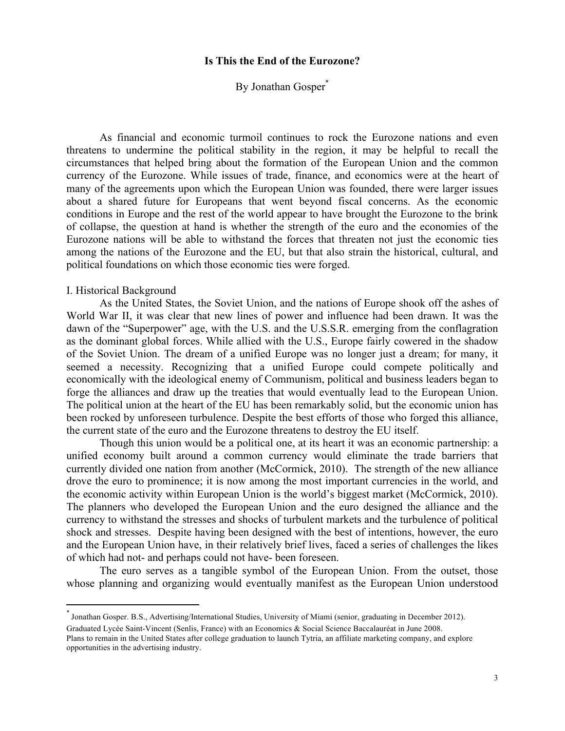# **Is This the End of the Eurozone?**

# By Jonathan Gosper<sup>\*</sup>

As financial and economic turmoil continues to rock the Eurozone nations and even threatens to undermine the political stability in the region, it may be helpful to recall the circumstances that helped bring about the formation of the European Union and the common currency of the Eurozone. While issues of trade, finance, and economics were at the heart of many of the agreements upon which the European Union was founded, there were larger issues about a shared future for Europeans that went beyond fiscal concerns. As the economic conditions in Europe and the rest of the world appear to have brought the Eurozone to the brink of collapse, the question at hand is whether the strength of the euro and the economies of the Eurozone nations will be able to withstand the forces that threaten not just the economic ties among the nations of the Eurozone and the EU, but that also strain the historical, cultural, and political foundations on which those economic ties were forged.

#### I. Historical Background

 

As the United States, the Soviet Union, and the nations of Europe shook off the ashes of World War II, it was clear that new lines of power and influence had been drawn. It was the dawn of the "Superpower" age, with the U.S. and the U.S.S.R. emerging from the conflagration as the dominant global forces. While allied with the U.S., Europe fairly cowered in the shadow of the Soviet Union. The dream of a unified Europe was no longer just a dream; for many, it seemed a necessity. Recognizing that a unified Europe could compete politically and economically with the ideological enemy of Communism, political and business leaders began to forge the alliances and draw up the treaties that would eventually lead to the European Union. The political union at the heart of the EU has been remarkably solid, but the economic union has been rocked by unforeseen turbulence. Despite the best efforts of those who forged this alliance, the current state of the euro and the Eurozone threatens to destroy the EU itself.

Though this union would be a political one, at its heart it was an economic partnership: a unified economy built around a common currency would eliminate the trade barriers that currently divided one nation from another (McCormick, 2010). The strength of the new alliance drove the euro to prominence; it is now among the most important currencies in the world, and the economic activity within European Union is the world's biggest market (McCormick, 2010). The planners who developed the European Union and the euro designed the alliance and the currency to withstand the stresses and shocks of turbulent markets and the turbulence of political shock and stresses. Despite having been designed with the best of intentions, however, the euro and the European Union have, in their relatively brief lives, faced a series of challenges the likes of which had not- and perhaps could not have- been foreseen.

The euro serves as a tangible symbol of the European Union. From the outset, those whose planning and organizing would eventually manifest as the European Union understood

<sup>\*</sup> Jonathan Gosper. B.S., Advertising/International Studies, University of Miami (senior, graduating in December 2012). Graduated Lycée Saint-Vincent (Senlis, France) with an Economics & Social Science Baccalauréat in June 2008.

Plans to remain in the United States after college graduation to launch Tytria, an affiliate marketing company, and explore opportunities in the advertising industry.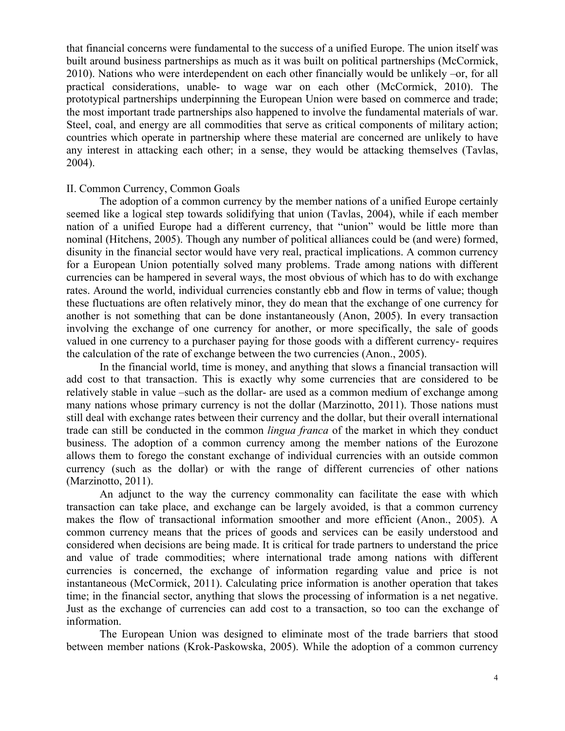that financial concerns were fundamental to the success of a unified Europe. The union itself was built around business partnerships as much as it was built on political partnerships (McCormick, 2010). Nations who were interdependent on each other financially would be unlikely –or, for all practical considerations, unable- to wage war on each other (McCormick, 2010). The prototypical partnerships underpinning the European Union were based on commerce and trade; the most important trade partnerships also happened to involve the fundamental materials of war. Steel, coal, and energy are all commodities that serve as critical components of military action; countries which operate in partnership where these material are concerned are unlikely to have any interest in attacking each other; in a sense, they would be attacking themselves (Tavlas, 2004).

## II. Common Currency, Common Goals

The adoption of a common currency by the member nations of a unified Europe certainly seemed like a logical step towards solidifying that union (Tavlas, 2004), while if each member nation of a unified Europe had a different currency, that "union" would be little more than nominal (Hitchens, 2005). Though any number of political alliances could be (and were) formed, disunity in the financial sector would have very real, practical implications. A common currency for a European Union potentially solved many problems. Trade among nations with different currencies can be hampered in several ways, the most obvious of which has to do with exchange rates. Around the world, individual currencies constantly ebb and flow in terms of value; though these fluctuations are often relatively minor, they do mean that the exchange of one currency for another is not something that can be done instantaneously (Anon, 2005). In every transaction involving the exchange of one currency for another, or more specifically, the sale of goods valued in one currency to a purchaser paying for those goods with a different currency- requires the calculation of the rate of exchange between the two currencies (Anon., 2005).

In the financial world, time is money, and anything that slows a financial transaction will add cost to that transaction. This is exactly why some currencies that are considered to be relatively stable in value –such as the dollar- are used as a common medium of exchange among many nations whose primary currency is not the dollar (Marzinotto, 2011). Those nations must still deal with exchange rates between their currency and the dollar, but their overall international trade can still be conducted in the common *lingua franca* of the market in which they conduct business. The adoption of a common currency among the member nations of the Eurozone allows them to forego the constant exchange of individual currencies with an outside common currency (such as the dollar) or with the range of different currencies of other nations (Marzinotto, 2011).

An adjunct to the way the currency commonality can facilitate the ease with which transaction can take place, and exchange can be largely avoided, is that a common currency makes the flow of transactional information smoother and more efficient (Anon., 2005). A common currency means that the prices of goods and services can be easily understood and considered when decisions are being made. It is critical for trade partners to understand the price and value of trade commodities; where international trade among nations with different currencies is concerned, the exchange of information regarding value and price is not instantaneous (McCormick, 2011). Calculating price information is another operation that takes time; in the financial sector, anything that slows the processing of information is a net negative. Just as the exchange of currencies can add cost to a transaction, so too can the exchange of information.

The European Union was designed to eliminate most of the trade barriers that stood between member nations (Krok-Paskowska, 2005). While the adoption of a common currency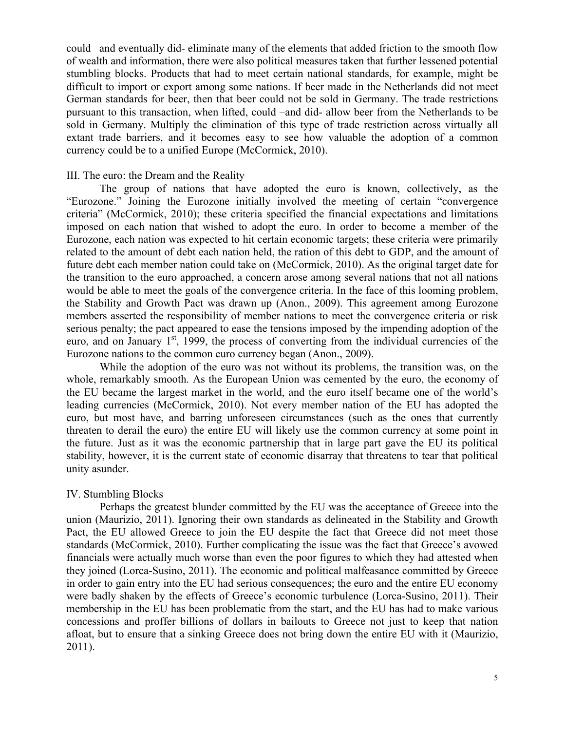could –and eventually did- eliminate many of the elements that added friction to the smooth flow of wealth and information, there were also political measures taken that further lessened potential stumbling blocks. Products that had to meet certain national standards, for example, might be difficult to import or export among some nations. If beer made in the Netherlands did not meet German standards for beer, then that beer could not be sold in Germany. The trade restrictions pursuant to this transaction, when lifted, could –and did- allow beer from the Netherlands to be sold in Germany. Multiply the elimination of this type of trade restriction across virtually all extant trade barriers, and it becomes easy to see how valuable the adoption of a common currency could be to a unified Europe (McCormick, 2010).

#### III. The euro: the Dream and the Reality

The group of nations that have adopted the euro is known, collectively, as the "Eurozone." Joining the Eurozone initially involved the meeting of certain "convergence criteria" (McCormick, 2010); these criteria specified the financial expectations and limitations imposed on each nation that wished to adopt the euro. In order to become a member of the Eurozone, each nation was expected to hit certain economic targets; these criteria were primarily related to the amount of debt each nation held, the ration of this debt to GDP, and the amount of future debt each member nation could take on (McCormick, 2010). As the original target date for the transition to the euro approached, a concern arose among several nations that not all nations would be able to meet the goals of the convergence criteria. In the face of this looming problem, the Stability and Growth Pact was drawn up (Anon., 2009). This agreement among Eurozone members asserted the responsibility of member nations to meet the convergence criteria or risk serious penalty; the pact appeared to ease the tensions imposed by the impending adoption of the euro, and on January 1<sup>st</sup>, 1999, the process of converting from the individual currencies of the Eurozone nations to the common euro currency began (Anon., 2009).

While the adoption of the euro was not without its problems, the transition was, on the whole, remarkably smooth. As the European Union was cemented by the euro, the economy of the EU became the largest market in the world, and the euro itself became one of the world's leading currencies (McCormick, 2010). Not every member nation of the EU has adopted the euro, but most have, and barring unforeseen circumstances (such as the ones that currently threaten to derail the euro) the entire EU will likely use the common currency at some point in the future. Just as it was the economic partnership that in large part gave the EU its political stability, however, it is the current state of economic disarray that threatens to tear that political unity asunder.

### IV. Stumbling Blocks

Perhaps the greatest blunder committed by the EU was the acceptance of Greece into the union (Maurizio, 2011). Ignoring their own standards as delineated in the Stability and Growth Pact, the EU allowed Greece to join the EU despite the fact that Greece did not meet those standards (McCormick, 2010). Further complicating the issue was the fact that Greece's avowed financials were actually much worse than even the poor figures to which they had attested when they joined (Lorca-Susino, 2011). The economic and political malfeasance committed by Greece in order to gain entry into the EU had serious consequences; the euro and the entire EU economy were badly shaken by the effects of Greece's economic turbulence (Lorca-Susino, 2011). Their membership in the EU has been problematic from the start, and the EU has had to make various concessions and proffer billions of dollars in bailouts to Greece not just to keep that nation afloat, but to ensure that a sinking Greece does not bring down the entire EU with it (Maurizio, 2011).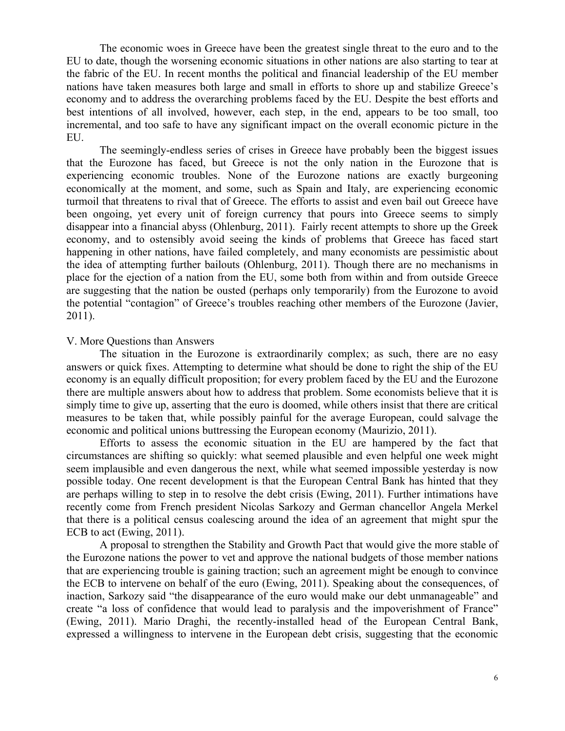The economic woes in Greece have been the greatest single threat to the euro and to the EU to date, though the worsening economic situations in other nations are also starting to tear at the fabric of the EU. In recent months the political and financial leadership of the EU member nations have taken measures both large and small in efforts to shore up and stabilize Greece's economy and to address the overarching problems faced by the EU. Despite the best efforts and best intentions of all involved, however, each step, in the end, appears to be too small, too incremental, and too safe to have any significant impact on the overall economic picture in the EU.

The seemingly-endless series of crises in Greece have probably been the biggest issues that the Eurozone has faced, but Greece is not the only nation in the Eurozone that is experiencing economic troubles. None of the Eurozone nations are exactly burgeoning economically at the moment, and some, such as Spain and Italy, are experiencing economic turmoil that threatens to rival that of Greece. The efforts to assist and even bail out Greece have been ongoing, yet every unit of foreign currency that pours into Greece seems to simply disappear into a financial abyss (Ohlenburg, 2011). Fairly recent attempts to shore up the Greek economy, and to ostensibly avoid seeing the kinds of problems that Greece has faced start happening in other nations, have failed completely, and many economists are pessimistic about the idea of attempting further bailouts (Ohlenburg, 2011). Though there are no mechanisms in place for the ejection of a nation from the EU, some both from within and from outside Greece are suggesting that the nation be ousted (perhaps only temporarily) from the Eurozone to avoid the potential "contagion" of Greece's troubles reaching other members of the Eurozone (Javier, 2011).

## V. More Questions than Answers

The situation in the Eurozone is extraordinarily complex; as such, there are no easy answers or quick fixes. Attempting to determine what should be done to right the ship of the EU economy is an equally difficult proposition; for every problem faced by the EU and the Eurozone there are multiple answers about how to address that problem. Some economists believe that it is simply time to give up, asserting that the euro is doomed, while others insist that there are critical measures to be taken that, while possibly painful for the average European, could salvage the economic and political unions buttressing the European economy (Maurizio, 2011).

Efforts to assess the economic situation in the EU are hampered by the fact that circumstances are shifting so quickly: what seemed plausible and even helpful one week might seem implausible and even dangerous the next, while what seemed impossible yesterday is now possible today. One recent development is that the European Central Bank has hinted that they are perhaps willing to step in to resolve the debt crisis (Ewing, 2011). Further intimations have recently come from French president Nicolas Sarkozy and German chancellor Angela Merkel that there is a political census coalescing around the idea of an agreement that might spur the ECB to act (Ewing, 2011).

A proposal to strengthen the Stability and Growth Pact that would give the more stable of the Eurozone nations the power to vet and approve the national budgets of those member nations that are experiencing trouble is gaining traction; such an agreement might be enough to convince the ECB to intervene on behalf of the euro (Ewing, 2011). Speaking about the consequences, of inaction, Sarkozy said "the disappearance of the euro would make our debt unmanageable" and create "a loss of confidence that would lead to paralysis and the impoverishment of France" (Ewing, 2011). Mario Draghi, the recently-installed head of the European Central Bank, expressed a willingness to intervene in the European debt crisis, suggesting that the economic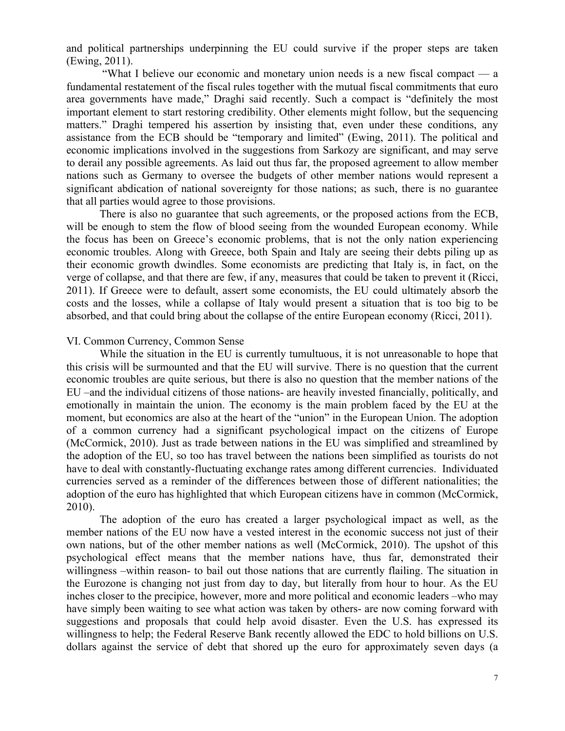and political partnerships underpinning the EU could survive if the proper steps are taken (Ewing, 2011).

"What I believe our economic and monetary union needs is a new fiscal compact — a fundamental restatement of the fiscal rules together with the mutual fiscal commitments that euro area governments have made," Draghi said recently. Such a compact is "definitely the most important element to start restoring credibility. Other elements might follow, but the sequencing matters." Draghi tempered his assertion by insisting that, even under these conditions, any assistance from the ECB should be "temporary and limited" (Ewing, 2011). The political and economic implications involved in the suggestions from Sarkozy are significant, and may serve to derail any possible agreements. As laid out thus far, the proposed agreement to allow member nations such as Germany to oversee the budgets of other member nations would represent a significant abdication of national sovereignty for those nations; as such, there is no guarantee that all parties would agree to those provisions.

There is also no guarantee that such agreements, or the proposed actions from the ECB, will be enough to stem the flow of blood seeing from the wounded European economy. While the focus has been on Greece's economic problems, that is not the only nation experiencing economic troubles. Along with Greece, both Spain and Italy are seeing their debts piling up as their economic growth dwindles. Some economists are predicting that Italy is, in fact, on the verge of collapse, and that there are few, if any, measures that could be taken to prevent it (Ricci, 2011). If Greece were to default, assert some economists, the EU could ultimately absorb the costs and the losses, while a collapse of Italy would present a situation that is too big to be absorbed, and that could bring about the collapse of the entire European economy (Ricci, 2011).

## VI. Common Currency, Common Sense

While the situation in the EU is currently tumultuous, it is not unreasonable to hope that this crisis will be surmounted and that the EU will survive. There is no question that the current economic troubles are quite serious, but there is also no question that the member nations of the EU –and the individual citizens of those nations- are heavily invested financially, politically, and emotionally in maintain the union. The economy is the main problem faced by the EU at the moment, but economics are also at the heart of the "union" in the European Union. The adoption of a common currency had a significant psychological impact on the citizens of Europe (McCormick, 2010). Just as trade between nations in the EU was simplified and streamlined by the adoption of the EU, so too has travel between the nations been simplified as tourists do not have to deal with constantly-fluctuating exchange rates among different currencies. Individuated currencies served as a reminder of the differences between those of different nationalities; the adoption of the euro has highlighted that which European citizens have in common (McCormick, 2010).

The adoption of the euro has created a larger psychological impact as well, as the member nations of the EU now have a vested interest in the economic success not just of their own nations, but of the other member nations as well (McCormick, 2010). The upshot of this psychological effect means that the member nations have, thus far, demonstrated their willingness –within reason- to bail out those nations that are currently flailing. The situation in the Eurozone is changing not just from day to day, but literally from hour to hour. As the EU inches closer to the precipice, however, more and more political and economic leaders –who may have simply been waiting to see what action was taken by others- are now coming forward with suggestions and proposals that could help avoid disaster. Even the U.S. has expressed its willingness to help; the Federal Reserve Bank recently allowed the EDC to hold billions on U.S. dollars against the service of debt that shored up the euro for approximately seven days (a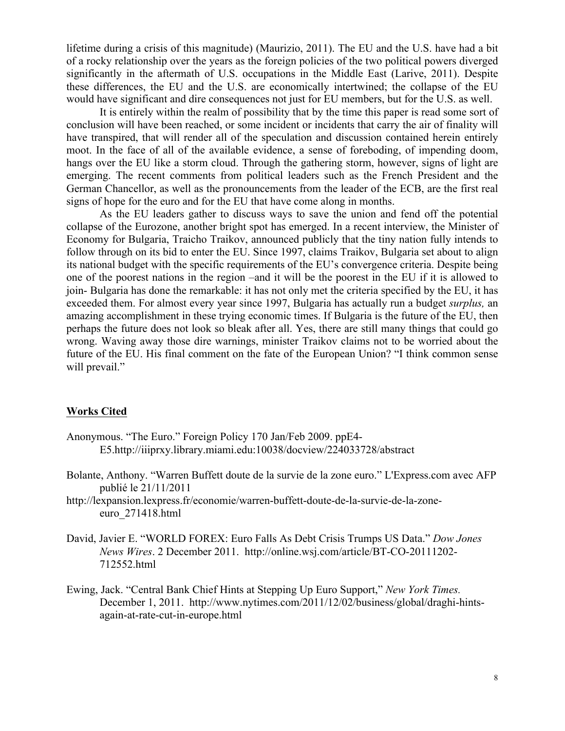lifetime during a crisis of this magnitude) (Maurizio, 2011). The EU and the U.S. have had a bit of a rocky relationship over the years as the foreign policies of the two political powers diverged significantly in the aftermath of U.S. occupations in the Middle East (Larive, 2011). Despite these differences, the EU and the U.S. are economically intertwined; the collapse of the EU would have significant and dire consequences not just for EU members, but for the U.S. as well.

It is entirely within the realm of possibility that by the time this paper is read some sort of conclusion will have been reached, or some incident or incidents that carry the air of finality will have transpired, that will render all of the speculation and discussion contained herein entirely moot. In the face of all of the available evidence, a sense of foreboding, of impending doom, hangs over the EU like a storm cloud. Through the gathering storm, however, signs of light are emerging. The recent comments from political leaders such as the French President and the German Chancellor, as well as the pronouncements from the leader of the ECB, are the first real signs of hope for the euro and for the EU that have come along in months.

As the EU leaders gather to discuss ways to save the union and fend off the potential collapse of the Eurozone, another bright spot has emerged. In a recent interview, the Minister of Economy for Bulgaria, Traicho Traikov, announced publicly that the tiny nation fully intends to follow through on its bid to enter the EU. Since 1997, claims Traikov, Bulgaria set about to align its national budget with the specific requirements of the EU's convergence criteria. Despite being one of the poorest nations in the region –and it will be the poorest in the EU if it is allowed to join- Bulgaria has done the remarkable: it has not only met the criteria specified by the EU, it has exceeded them. For almost every year since 1997, Bulgaria has actually run a budget *surplus,* an amazing accomplishment in these trying economic times. If Bulgaria is the future of the EU, then perhaps the future does not look so bleak after all. Yes, there are still many things that could go wrong. Waving away those dire warnings, minister Traikov claims not to be worried about the future of the EU. His final comment on the fate of the European Union? "I think common sense will prevail."

# **Works Cited**

- Anonymous. "The Euro." Foreign Policy 170 Jan/Feb 2009. ppE4- E5.http://iiiprxy.library.miami.edu:10038/docview/224033728/abstract
- Bolante, Anthony. "Warren Buffett doute de la survie de la zone euro." L'Express.com avec AFP publié le 21/11/2011
- http://lexpansion.lexpress.fr/economie/warren-buffett-doute-de-la-survie-de-la-zoneeuro\_271418.html
- David, Javier E. "WORLD FOREX: Euro Falls As Debt Crisis Trumps US Data." *Dow Jones News Wires*. 2 December 2011. http://online.wsj.com/article/BT-CO-20111202- 712552.html
- Ewing, Jack. "Central Bank Chief Hints at Stepping Up Euro Support," *New York Times.* December 1, 2011. http://www.nytimes.com/2011/12/02/business/global/draghi-hintsagain-at-rate-cut-in-europe.html